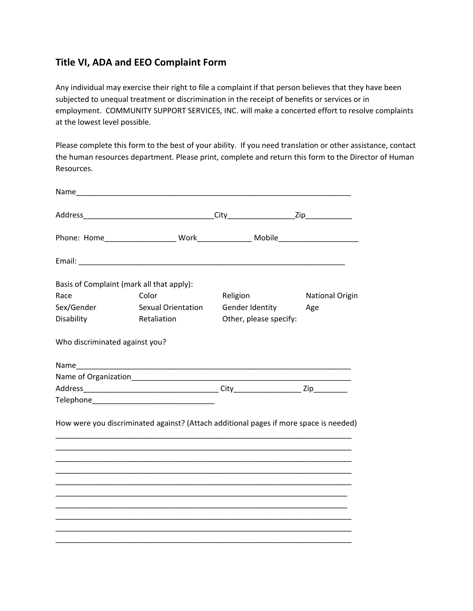## **Title VI, ADA and EEO Complaint Form**

Any individual may exercise their right to file a complaint if that person believes that they have been subjected to unequal treatment or discrimination in the receipt of benefits or services or in employment. COMMUNITY SUPPORT SERVICES, INC. will make a concerted effort to resolve complaints at the lowest level possible.

Please complete this form to the best of your ability. If you need translation or other assistance, contact the human resources department. Please print, complete and return this form to the Director of Human Resources.

|                                | Basis of Complaint (mark all that apply):                                                                             |                        |                        |
|--------------------------------|-----------------------------------------------------------------------------------------------------------------------|------------------------|------------------------|
| Race                           | Color                                                                                                                 | Religion               | <b>National Origin</b> |
| Sex/Gender                     | <b>Sexual Orientation</b>                                                                                             | Gender Identity        | Age                    |
| Disability                     | Retaliation                                                                                                           | Other, please specify: |                        |
| Who discriminated against you? |                                                                                                                       |                        |                        |
|                                |                                                                                                                       |                        |                        |
|                                |                                                                                                                       |                        |                        |
|                                |                                                                                                                       |                        |                        |
|                                |                                                                                                                       |                        |                        |
|                                | How were you discriminated against? (Attach additional pages if more space is needed)                                 |                        |                        |
|                                | <u> 1989 - Johann Harry Harry Harry Harry Harry Harry Harry Harry Harry Harry Harry Harry Harry Harry Harry Harry</u> |                        |                        |
|                                |                                                                                                                       |                        |                        |
|                                |                                                                                                                       |                        |                        |
|                                |                                                                                                                       |                        |                        |
|                                |                                                                                                                       |                        |                        |
|                                |                                                                                                                       |                        |                        |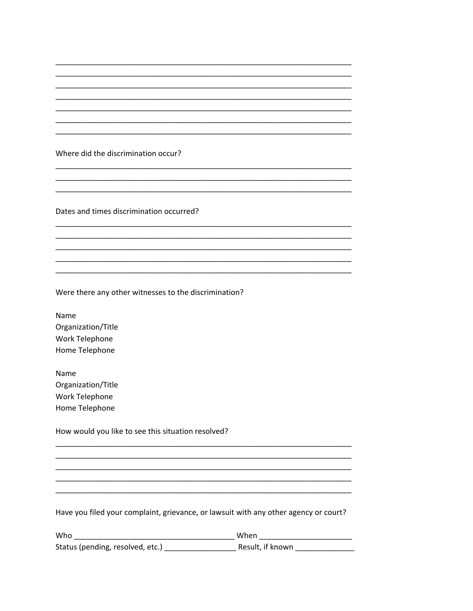Where did the discrimination occur?

Dates and times discrimination occurred?

Were there any other witnesses to the discrimination?

Name Organization/Title Work Telephone Home Telephone

Name Organization/Title Work Telephone Home Telephone

How would you like to see this situation resolved?

Have you filed your complaint, grievance, or lawsuit with any other agency or court?

| Who                              | When             |
|----------------------------------|------------------|
| Status (pending, resolved, etc.) | Result, if known |